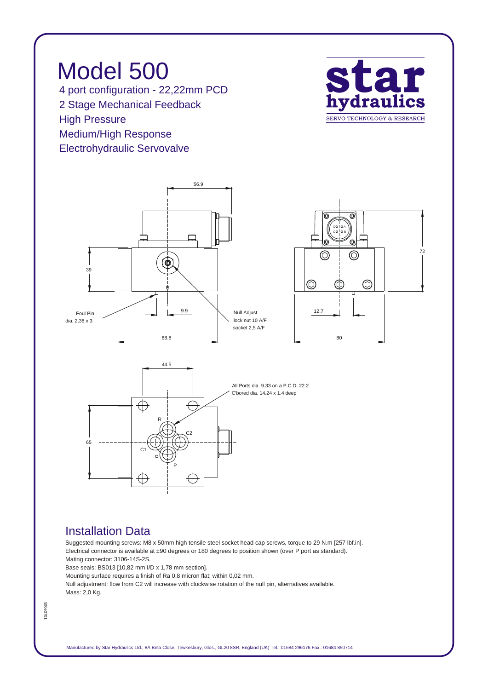*Model 500 4 port configuration - 22,22mm PCD 2 Stage Mechanical Feedback High Pressure Medium/High Response Electrohydraulic Servovalve*









## *Installation Data*

*Suggested mounting screws: M8 x 50mm high tensile steel socket head cap screws, torque to 29 N.m [257 lbf.in]. Electrical connector is available at ±90 degrees or 180 degrees to position shown (over P port as standard). Mating connector: 3106-14S-2S.*

*Base seals: BS013 [10,82 mm I/D x 1,78 mm section].*

*Mounting surface requires a finish of Ra 0,8 micron flat; within 0,02 mm.*

*Null adjustment: flow from C2 will increase with clockwise rotation of the null pin, alternatives available. Mass: 2,0 Kg.*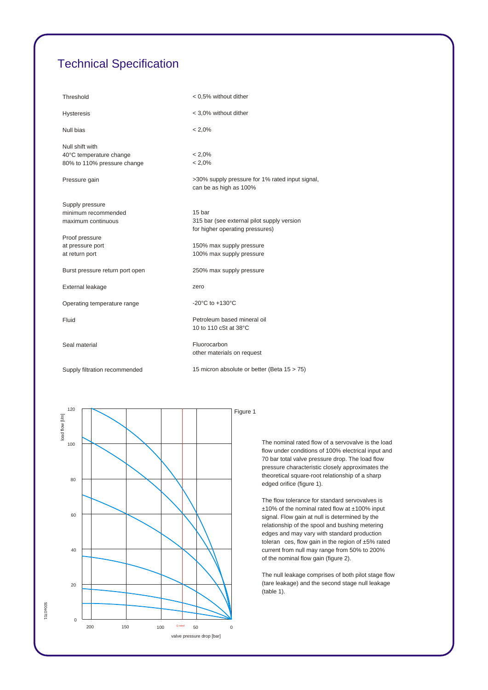## *Technical Specification*

| Threshold                       | < 0,5% without dither                                                     |
|---------------------------------|---------------------------------------------------------------------------|
| <b>Hysteresis</b>               | < 3,0% without dither                                                     |
| Null bias                       | $< 2,0\%$                                                                 |
| Null shift with                 |                                                                           |
| 40°C temperature change         | $< 2.0\%$                                                                 |
| 80% to 110% pressure change     | $< 2.0\%$                                                                 |
| Pressure gain                   | >30% supply pressure for 1% rated input signal,<br>can be as high as 100% |
| Supply pressure                 |                                                                           |
| minimum recommended             | 15 bar                                                                    |
| maximum continuous              | 315 bar (see external pilot supply version                                |
|                                 | for higher operating pressures)                                           |
| Proof pressure                  |                                                                           |
| at pressure port                | 150% max supply pressure                                                  |
| at return port                  | 100% max supply pressure                                                  |
| Burst pressure return port open | 250% max supply pressure                                                  |
| External leakage                | zero                                                                      |
| Operating temperature range     | -20 $^{\circ}$ C to +130 $^{\circ}$ C                                     |
| Fluid                           | Petroleum based mineral oil                                               |
|                                 | 10 to 110 cSt at 38°C                                                     |
| Seal material                   | Fluorocarbon                                                              |
|                                 | other materials on request                                                |
| Supply filtration recommended   | 15 micron absolute or better (Beta 15 > 75)                               |



*The nominal rated flow of a servovalve is the load flow under conditions of 100% electrical input and 70 bar total valve pressure drop. The load flow pressure characteristic closely approximates the theoretical square-root relationship of a sharp edged orifice (figure 1).*

*The flow tolerance for standard servovalves is ±10% of the nominal rated flow at ±100% input signal. Flow gain at null is determined by the relationship of the spool and bushing metering edges and may vary with standard production toleran ces, flow gain in the region of ±5% rated current from null may range from 50% to 200% of the nominal flow gain (figure 2).*

*The null leakage comprises of both pilot stage flow (tare leakage) and the second stage null leakage (table 1).*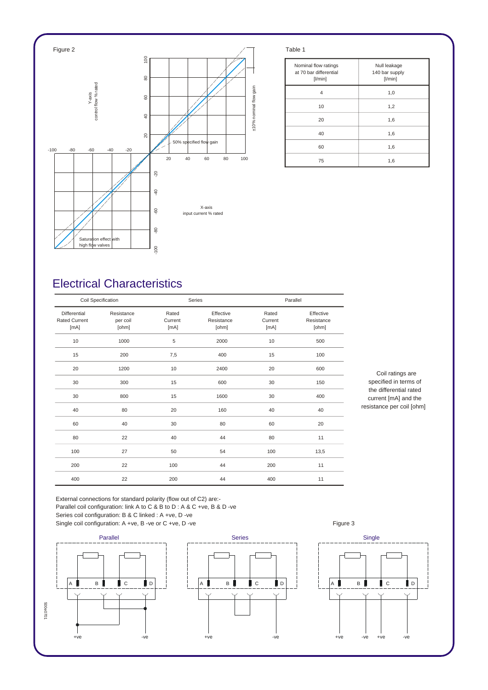

| Nominal flow ratings<br>at 70 bar differential<br>$[$ l/min $]$ | Null leakage<br>140 bar supply<br>[1/min] |
|-----------------------------------------------------------------|-------------------------------------------|
| 4                                                               | 1,0                                       |
| 10                                                              | 1,2                                       |
| 20                                                              | 1,6                                       |
| 40                                                              | 1,6                                       |
| 60                                                              | 1,6                                       |
| 75                                                              | 1,6                                       |

## *Electrical Characteristics*

| Coil Specification                           |                                 | Series                   |                                  | Parallel                 |                                  |
|----------------------------------------------|---------------------------------|--------------------------|----------------------------------|--------------------------|----------------------------------|
| Differential<br><b>Rated Current</b><br>[mA] | Resistance<br>per coil<br>[ohm] | Rated<br>Current<br>[mA] | Effective<br>Resistance<br>[ohm] | Rated<br>Current<br>[mA] | Effective<br>Resistance<br>[ohm] |
| 10                                           | 1000                            | 5                        | 2000                             | 10                       | 500                              |
| 15                                           | 200                             | 7,5                      | 400                              | 15                       | 100                              |
| 20                                           | 1200                            | 10                       | 2400                             | 20                       | 600                              |
| 30                                           | 300                             | 15                       | 600                              | 30                       | 150                              |
| 30                                           | 800                             | 15                       | 1600                             | 30                       | 400                              |
| 40                                           | 80                              | 20                       | 160                              | 40                       | 40                               |
| 60                                           | 40                              | 30                       | 80                               | 60                       | 20                               |
| 80                                           | 22                              | 40                       | 44                               | 80                       | 11                               |
| 100                                          | 27                              | 50                       | 54                               | 100                      | 13,5                             |
| 200                                          | 22                              | 100                      | 44                               | 200                      | 11                               |
| 400                                          | 22                              | 200                      | 44                               | 400                      | 11                               |

*Coil ratings are specified in terms of the differential rated current [mA] and the resistance per coil [ohm]*

*External connections for standard polarity (flow out of C2) are:- Parallel coil configuration: link A to C & B to D : A & C +ve, B & D -ve Series coil configuration: B & C linked : A +ve, D -ve* Single coil configuration: A +ve, B -ve or C +ve, D -ve **Figure 3** Figure 3